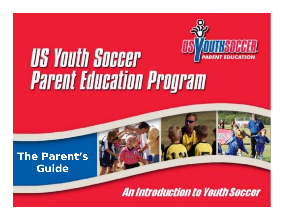

# **US Youth Soccer Parent Education Program**

## **The Parent's Guide**

**An Introduction to Youth Soccer**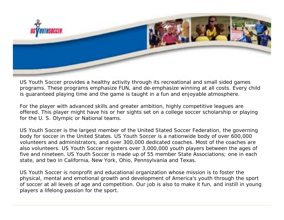

US Youth Soccer provides a healthy activity through its recreational and small sided games programs. These programs emphasize FUN, and de-emphasize winning at all costs. Every child is guaranteed playing time and the game is taught in a fun and enjoyable atmosphere.

For the player with advanced skills and greater ambition, highly competitive leagues are offered. This player might have his or her sights set on a college soccer scholarship or playing for the U. S. Olympic or National teams.

US Youth Soccer is the largest member of the United Stated Soccer Federation, the governing body for soccer in the United States. US Youth Soccer is a nationwide body of over 600,000 volunteers and administrators, and over 300,000 dedicated coaches. Most of the coaches are also volunteers. US Youth Soccer registers over 3,000,000 youth players between the ages of five and nineteen. US Youth Soccer is made up of 55 member State Associations; one in each state, and two in California, New York, Ohio, Pennsylvania and Texas.

US Youth Soccer is nonprofit and educational organization whose mission is to foster the physical, mental and emotional growth and development of America's youth through the sport of soccer at all levels of age and competition. Our job is also to make it fun, and instill in young players a lifelong passion for the sport.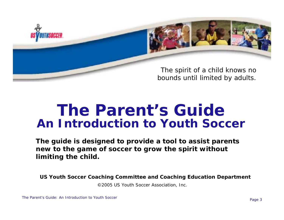

The spirit of a child knows no bounds until limited by adults.

## *The Parent's GuideAn Introduction to Youth Soccer*

**The guide is designed to provide a tool to assist parents new to the game of soccer to grow the spirit without limiting the child.**

**US Youth Soccer Coaching Committee and Coaching Education Department**

©2005 US Youth Soccer Association, Inc.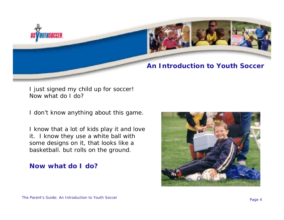

#### **An Introduction to Youth Soccer**

I just signed my child up for soccer! Now what do I do?

I don't know anything about this game.

I know that a lot of kids play it and love it. I know they use a white ball with some designs on it, that looks like a basketball. but rolls on the ground.

#### **Now what do I do?**

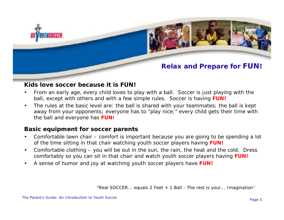

#### **Relax and Prepare for FUN!**

#### **Kids love soccer because it is FUN!**

- • From an early age, every child loves to play with a ball. Soccer is just playing with the ball, except with others and with a few simple rules. Soccer is having **FUN!**
- • The rules at the basic level are: the ball is shared with your teammates; the ball is kept away from your opponents; everyone has to "play nice;" every child gets their time with the ball and everyone has **FUN!**

#### **Basic equipment for soccer parents**

- • Comfortable lawn chair – comfort is important because you are going to be spending a lot of the time sitting in that chair watching youth soccer players having **FUN!**
- • Comfortable clothing – you will be out in the sun, the rain, the heat and the cold. Dress comfortably so you can sit in that chair and watch youth soccer players having **FUN!**
- •A sense of humor and joy at watching youth soccer players have **FUN!**

*"Real SOCCER... equals 2 Feet + 1 Ball - The rest is your... Imagination"*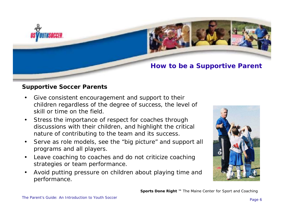

#### **How to be a Supportive Parent**

#### **Supportive Soccer Parents**

- • Give consistent encouragement and support to their children regardless of the degree of success, the level of skill or time on the field.
- • Stress the importance of respect for coaches through discussions with their children, and highlight the critical nature of contributing to the team and its success.
- • Serve as role models, see the "big picture" and support all programs and all players.
- • Leave coaching to coaches and do not criticize coaching strategies or team performance.
- • Avoid putting pressure on children about playing time and performance.



**Sports Done Right ™** The Maine Center for Sport and Coaching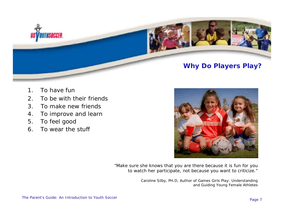

#### **Why Do Players Play?**

- 1. To have fun
- 2. To be with their friends
- 3. To make new friends
- 4. To improve and learn
- 5. To feel good
- 6. To wear the stuff



"Make sure she knows that you are there because it is fun for you to watch her participate, not because you want to criticize."

> Caroline Silby, PH.D, Author of *Games Girls Play: Understanding and Guiding Young Female Athletes*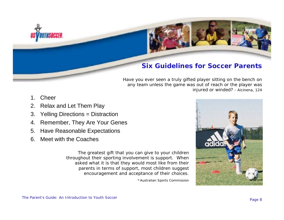

#### **Six Guidelines for Soccer Parents**

Have you ever seen a truly gifted player sitting on the bench on any team unless the game was out of reach or the player was injured or winded? - Aicinena, 124

- 1. Cheer
- 2. Relax and Let Them Play
- 3. Yelling Directions = Distraction
- 4. Remember, They Are Your Genes
- 5. Have Reasonable Expectations
- 6. Meet with the Coaches

The greatest gift that you can give to your children throughout their sporting involvement is support. When asked what it is that they would most like from their parents in terms of support, most children suggest encouragement and acceptance of their choices.

-Australian Sports Commission

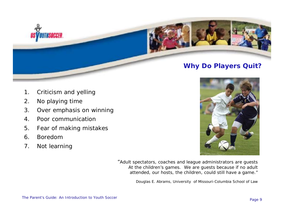

#### **Why Do Players Quit?**

- 1. Criticism and yelling
- 2. No playing time
- 3. Over emphasis on winning
- 4. Poor communication
- 5. Fear of making mistakes
- 6. Boredom
- 7. Not learning



"Adult spectators, coaches and league administrators are guests At the children's games. We are guests because if no adult attended, our hosts, the children, could still have a game."

Douglas E. Abrams, University of Missouri-Columbia School of Law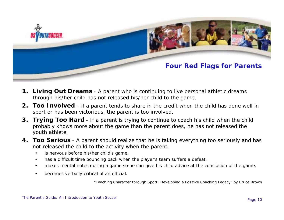![](_page_9_Picture_0.jpeg)

#### **Four Red Flags for Parents**

- **1. Living Out Dreams** A parent who is continuing to live personal athletic dreams through his/her child has not released his/her child to the game.
- **2. Too Involved** If a parent tends to share in the credit when the child has done well in sport or has been victorious, the parent is too involved.
- **3. Trying Too Hard** If a parent is trying to continue to coach his child when the child probably knows more about the game than the parent does, he has not released the youth athlete.
- **4. Too Serious** A parent should realize that he is taking everything too seriously and has not released the child to the activity when the parent:
	- •is nervous before his/her child's game.
	- •has a difficult time bouncing back when the player's team suffers a defeat.
	- •makes mental notes during a game so he can give his child advice at the conclusion of the game.
	- •becomes verbally critical of an official.

"Teaching Character through Sport: Developing a Positive Coaching Legacy" by Bruce Brown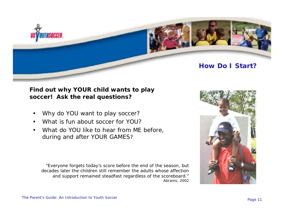![](_page_10_Picture_0.jpeg)

#### **How Do I Start?**

#### **Find out why YOUR child wants to play soccer! Ask the real questions?**

- •Why do YOU want to play soccer?
- •What is fun about soccer for YOU?
- • What do YOU like to hear from ME before, during and after YOUR GAMES ?

"Everyone forgets today's score before the end of the season, but decades later the children still remember the adults whose affection and support remained steadfast regardless of the scoreboard." Abrams, 2002

![](_page_10_Picture_7.jpeg)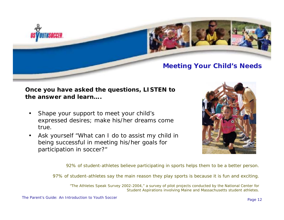![](_page_11_Picture_0.jpeg)

# **Meeting Your Child's Needs**

#### **Once you have asked the questions, LISTEN to the answer and learn….**

- • Shape your support to meet your child's expressed desires; make his/her dreams come true.
- • Ask yourself "What can I do to assist my child in being successful in meeting his/her goals for participation in soccer?"

![](_page_11_Picture_5.jpeg)

92% of student-athletes believe participating in sports helps them to be a better person.

97% of student-athletes say the main reason they play sports is because it is fun and exciting.

*"The Athletes Speak Survey 2002-2004," a survey of pilot projects conducted by the National Center for Student Aspirations involving Maine and Massachusetts student athletes.*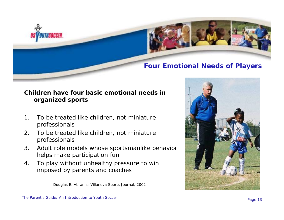![](_page_12_Picture_0.jpeg)

### **Four Emotional Needs of Players**

#### **Children have four basic emotional needs in organized sports**

- 1. To be treated like children, not miniature professionals
- 2. To be treated like children, not miniature professionals
- 3. Adult role models whose sportsmanlike behavior helps make participation fun
- 4. To play without unhealthy pressure to win imposed by parents and coaches

Douglas E. Abrams; Villanova Sports Journal, 2002

![](_page_12_Picture_8.jpeg)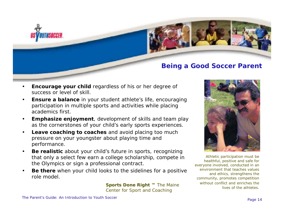![](_page_13_Picture_0.jpeg)

#### **Being a Good Soccer Parent**

- • **Encourage your child** regardless of his or her degree of success or level of skill.
- • **Ensure a balance** in your student athlete's life, encouraging participation in multiple sports and activities while placing academics first.
- • **Emphasize enjoyment**, development of skills and team play as the cornerstones of your child's early sports experiences.
- • **Leave coaching to coaches** and avoid placing too much pressure on your youngster about playing time and performance.
- • **Be realistic** about your child's future in sports, recognizing that only a select few earn a college scholarship, compete in the Olympics or sign a professional contract.
- • **Be there** when your child looks to the sidelines for a positive role model.

**Sports Done Right ™** *The Maine Center for Sport and Coaching*

![](_page_13_Picture_9.jpeg)

Athletic participation must be healthful, positive and safe for everyone involved, conducted in an environment that teaches values and ethics, strengthens the community, promotes competition without conflict and enriches the lives of the athletes.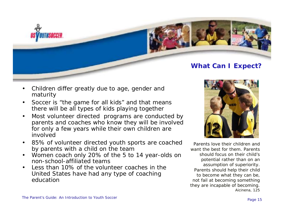![](_page_14_Picture_0.jpeg)

#### **What Can I Expect?**

- • Children differ greatly due to age, gender and maturity
- • Soccer is "the game for all kids" and that means there will be all types of kids playing together
- • Most volunteer directed programs are conducted by parents and coaches who know they will be involved for only a few years while their own children are involved
- • 85% of volunteer directed youth sports are coached by parents with a child on the team
- • Women coach only 20% of the 5 to 14 year-olds on non-school-affiliated teams
- • Less than 10% of the volunteer coaches in the United States have had any type of coaching education

![](_page_14_Picture_8.jpeg)

Parents love their children and want the best for them. Parents should focus on their child's potential rather than on an assumption of superiority. Parents should help their child to become what they can be, not fail at becoming something they are incapable of becomin g. Aicinena, 125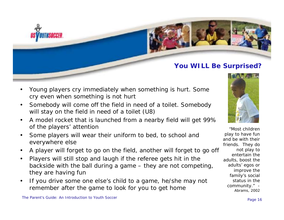![](_page_15_Picture_0.jpeg)

#### **You WILL Be Surprised?**

"Most children play to have fun and be with their friends. They do not play to entertain the adults, boost the adults' egos or improve the family's social status in the community." - Abrams, 2002

- • Young players cry immediately when something is hurt. Some cry even when something is not hurt
- • Somebody will come off the field in need of a toilet. Somebody will stay on the field in need of a toilet (U8)
- • A model rocket that is launched from a nearby field will get 99% of the players' attention
- • Some players will wear their uniform to bed, to school and everywhere else
- •A player will forget to go on the field, another will forget to go off
- • Players will still stop and laugh if the referee gets hit in the backside with the ball during a game – they are not competing, they are having fun
- • If you drive some one else's child to a game, he/she may not remember after the game to look for you to get home

The Parent's Guide: An Introduction to Youth Soccer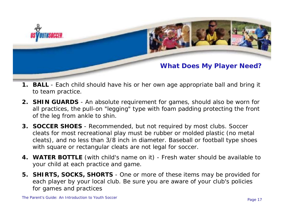![](_page_16_Picture_0.jpeg)

#### **What Does My Player Need?**

- **1. BALL** Each child should have his or her own age appropriate ball and bring it to team practice.
- **2. SHIN GUARDS** An absolute requirement for games, should also be worn for all practices, the pull-on "legging" type with foam padding protecting the front of the leg from ankle to shin.
- **3. SOCCER SHOES** Recommended, but not required by most clubs. Soccer cleats for most recreational play must be rubber or molded plastic (no metal cleats), and no less than 3/8 inch in diameter. Baseball or football type shoes with square or rectangular cleats are not legal for soccer.
- **4. WATER BOTTLE** (with child's name on it) Fresh water should be available to your child at each practice and game.
- **5. SHIRTS, SOCKS, SHORTS** One or more of these items may be provided for each player by your local club. Be sure you are aware of your club's policies for games and practices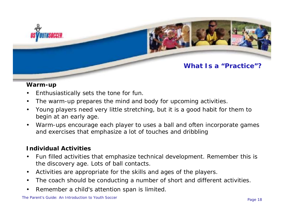![](_page_17_Picture_0.jpeg)

#### **What Is a "Practice"?**

#### **Warm-up**

- •Enthusiastically sets the tone for fun.
- •The warm-up prepares the mind and body for upcoming activities.
- • Young players need very little stretching, but it is a good habit for them to begin at an early age.
- • Warm-ups encourage each player to uses a ball and often incorporate games and exercises that emphasize a lot of touches and dribbling

#### **Individual Activities**

- • Fun filled activities that emphasize technical development. Remember this is the discovery age. Lots of ball contacts.
- •Activities are appropriate for the skills and ages of the players.
- •The coach should be conducting a number of short and different activities.
- •Remember a child's attention span is limited.

The Parent's Guide: An Introduction to Youth Soccer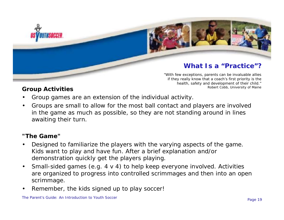![](_page_18_Picture_0.jpeg)

#### **What Is a "Practice"?**

"With few exceptions, parents can be invaluable allies if they really know that a coach's first priority is the health, safety and development of their child." Robert Cobb, University of Maine

#### **Group Activities**

- •Group games are an extension of the individual activity.
- • Groups are small to allow for the most ball contact and players are involved in the game as much as possible, so they are not standing around in lines awaiting their turn.

#### **"The Game"**

- • Designed to familiarize the players with the varying aspects of the game. Kids want to play and have fun. After a brief explanation and/or demonstration quickly get the players playing.
- • Small-sided games (e.g. 4 v 4) to help keep everyone involved. Activities are organized to progress into controlled scrimmages and then into an open scrimmage.
- •Remember, the kids signed up to play soccer!

The Parent's Guide: An Introduction to Youth Soccer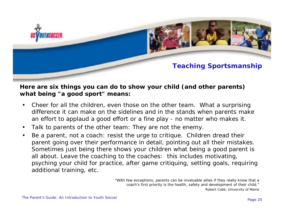![](_page_19_Picture_0.jpeg)

#### **Teaching Sportsmanship**

#### **Here are six things you can do to show your child (and other parents) what being "a good sport" means:**

- • Cheer for all the children, even those on the other team. What a surprising difference it can make on the sidelines and in the stands when parents make an effort to applaud a good effort or a fine play - no matter who makes it.
- •Talk to parents of the other team: They are not the enemy.
- • Be a parent, not a coach: resist the urge to critique. Children dread their parent going over their performance in detail, pointing out all their mistakes. Sometimes just being there shows your children what being a good parent is all about. Leave the coaching to the coaches: this includes motivating, psyching your child for practice, after game critiquing, setting goals, requiring additional training, etc.

"With few exceptions, parents can be invaluable allies if they really know that a coach's first priority is the health, safety and development of their child." Robert Cobb, University of Maine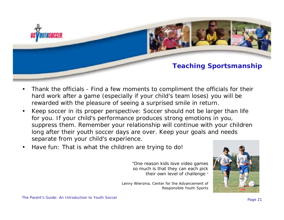![](_page_20_Picture_0.jpeg)

#### **Teaching Sportsmanship**

- • Thank the officials - Find a few moments to compliment the officials for their hard work after a game (especially if your child's team loses) you will be rewarded with the pleasure of seeing a surprised smile in return.
- • Keep soccer in its proper perspective: Soccer should not be larger than life for you. If your child's performance produces strong emotions in you, suppress them. Remember your relationship will continue with your children long after their youth soccer days are over. Keep your goals and needs separate from your child's experience.
- •Have fun: That is what the children are trying to do!

"One reason kids love video games so much is that they can each pick their own level of challenge."

Lenny Wiersma, Center for the Advancement of Responsible Youth Sports

![](_page_20_Picture_7.jpeg)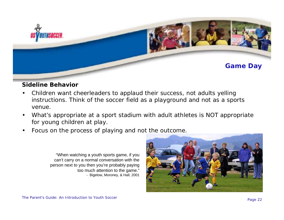![](_page_21_Picture_0.jpeg)

#### **Sideline Behavior**

- • Children want cheerleaders to applaud their success, not adults yelling instructions. Think of the soccer field as a playground and not as a sports venue.
- • What's appropriate at a sport stadium with adult athletes is NOT appropriate for young children at play.
- •Focus on the process of playing and not the outcome.

"When watching a youth sports game, if you can't carry on a normal conversation with the person next to you then you're probably paying too much attention to the game." - Bigelow, Moroney, & Hall, 2001

![](_page_21_Picture_6.jpeg)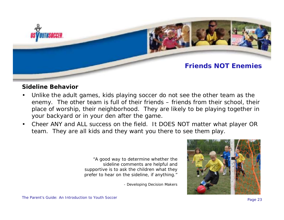![](_page_22_Picture_0.jpeg)

#### **Friends NOT Enemies**

#### **Sideline Behavior**

- • Unlike the adult games, kids playing soccer do not see the other team as the enemy. The other team is full of their friends – friends from their school, their place of worship, their neighborhood. They are likely to be playing together in your backyard or in your den after the game.
- • Cheer ANY and ALL success on the field. It DOES NOT matter what player OR team. They are all kids and they want you there to see them play.

"A good way to determine whether the sideline comments are helpful and supportive is to ask the children what they prefer to hear on the sideline, if anything."

- Developing Decision Makers

![](_page_22_Picture_7.jpeg)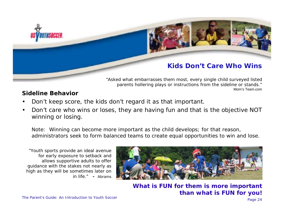![](_page_23_Picture_0.jpeg)

#### **Kids Don't Care Who Wins**

"Asked what embarrasses them most, every single child surveyed listed parents hollering plays or instructions from the sideline or stands." Mom's Team com

#### **Sideline Behavior**

- •Don't keep score, the kids don't regard it as that important.
- • Don't care who wins or loses, they are having fun and that is the objective NOT winning or losing.

*Note: Winning can become more important as the child develops; for that reason, administrators seek to form balanced teams to create equal opportunities to win and lose.*

"Youth sports provide an ideal avenue for early exposure to setback and allows supportive adults to offer guidance with the stakes not nearly as high as they will be sometimes later on in life." **-** Abrams

![](_page_23_Picture_8.jpeg)

**What is FUN for them is more important than what is FUN for you!**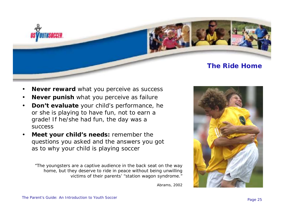![](_page_24_Picture_0.jpeg)

#### **The Ride Home**

- •**Never reward** what you perceive as success
- •**Never punish** what you perceive as failure
- • **Don't evaluate** your child's performance, he or she is playing to have fun, not to earn a grade! If he/she had fun, the day was a success
- • **Meet your child's needs:** remember the questions you asked and the answers you got as to why your child is playing soccer

"The youngsters are a captive audience in the back seat on the way home, but they deserve to ride in peace without being unwilling victims of their parents' "station wagon syndrome."

![](_page_24_Picture_7.jpeg)

Abrams, 2002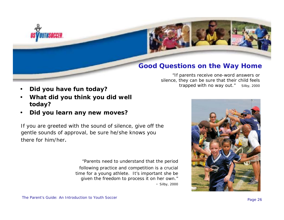![](_page_25_Picture_0.jpeg)

#### **Good Questions on the Way Home**

"If parents receive one-word answers or silence, they can be sure that their child feels trapped with no way out." Silby, 2000

- •**Did you have fun today?**
- • **What did you think you did well today?**
- •**Did you learn any new moves?**

*If you are greeted with the sound of silence, give off the gentle sounds of approval, be sure he/she knows you there for him/her.*

> "Parents need to understand that the period following practice and competition is a crucial time for a young athlete. It's important she be given the freedom to process it on her own." - Silby, 20 00

![](_page_25_Picture_8.jpeg)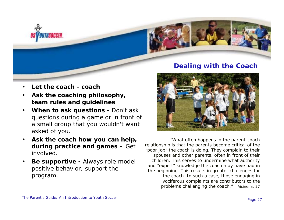![](_page_26_Picture_0.jpeg)

#### **Dealing with the Coach**

![](_page_26_Picture_3.jpeg)

"What often happens in the parent-coach relationship is that the parents become critical of the "poor job" the coach is doing. They complain to their spouses and other parents, often in front of their children. This serves to undermine what authority and "expert" knowledge the coach may have had in the beginning. This results in greater challenges for the coach. In such a case, those engaging in vociferous complaints are contributors to the problems challenging the coach." Aicinena, 27

- •**Let the coach - coach**
- • **Ask the coaching philosophy, team rules and guidelines**
- • **When to ask questions -** Don't ask questions during a game or in front of a small group that you wouldn't want asked of you.
- • **Ask the coach how you can help, during practice and games –** Get involved.
- • **Be supportive -** Always role model positive behavior, support the program.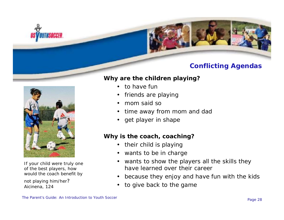![](_page_27_Picture_0.jpeg)

### **Conflicting Agendas**

![](_page_27_Picture_2.jpeg)

If your child were truly one of the best players, how would the coach benefit by not playing him/her? Aicinena, 124

- •to have fun
- •friends are playing
- •mom said so
- •time away from mom and dad
- •get player in shape

#### **Why is the coach, coaching?**

- •their child is playing
- •wants to be in charge
- • wants to show the players all the skills they have learned over their career
- •because they enjoy and have fun with the kids
- •to give back to the game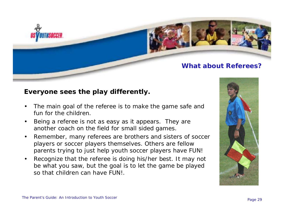![](_page_28_Picture_0.jpeg)

#### **What about Referees?**

#### **Everyone sees the play differently.**

- • The main goal of the referee is to make the game safe and fun for the children.
- • Being a referee is not as easy as it appears. They are another coach on the field for small sided games.
- • Remember, many referees are brothers and sisters of soccer players or soccer players themselves. Others are fellow parents trying to just help youth soccer players have FUN!
- • Recognize that the referee is doing his/her best. It may not be what you saw, but the goal is to let the game be played so that children can have FUN!.

![](_page_28_Picture_7.jpeg)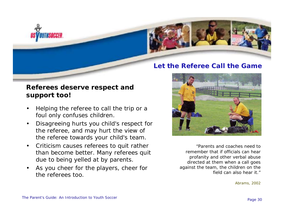![](_page_29_Picture_0.jpeg)

![](_page_29_Picture_1.jpeg)

#### **Let the Referee Call the Game**

#### **Referees deserve respect and support too!**

- • Helping the referee to call the trip or a foul only confuses children.
- • Disagreeing hurts you child's respect for the referee, and may hurt the view of the referee towards your child's team.
- • Criticism causes referees to quit rather than become better. Many referees quit due to being yelled at by parents.
- • As you cheer for the players, cheer for the referees too.

![](_page_29_Picture_8.jpeg)

"Parents and coaches need to remember that if officials can hear profanity and other verbal abuse directed at them when a call goes against the team, the children on the field can also hear it."

Abrams, 2002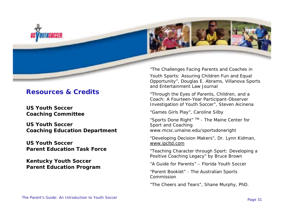![](_page_30_Picture_0.jpeg)

#### **Resources & Credits**

**US Youth Soccer Coaching Committee**

**US Youth Soccer Coaching Education Department**

**US Youth Soccer Parent Education Task Force**

**Kentucky Youth Soccer Parent Education Program**

*"The Challenges Facing Parents and Coaches in Youth Sports: Assuring Children Fun and Equal Opportunity",* Douglas E. Abrams, Villanova Sports and Entertainment Law Journal

*"Through the Eyes of Parents, Children, and a Coach: A Fourteen-Year Participant-Observer Investigation of Youth Soccer",* Steven Aicinena

"*Games Girls Play*", Caroline Silby

"*Sports Done Right*" TM - The Maine Center for Sport and Coaching www.mcsc.umaine.edu/sportsdoneright

"*Developing Decision Makers*", Dr. Lynn Kidman, www.ipcltd.com

*"Teaching Character through Sport: Developing a Positive Coaching Legacy" by Bruce Brown*

"*A Guide for Parents*" – Florida Youth Soccer

"Parent Booklet" - The Australian Sports Commission

"The Cheers and Tears", Shane Murphy, PhD.